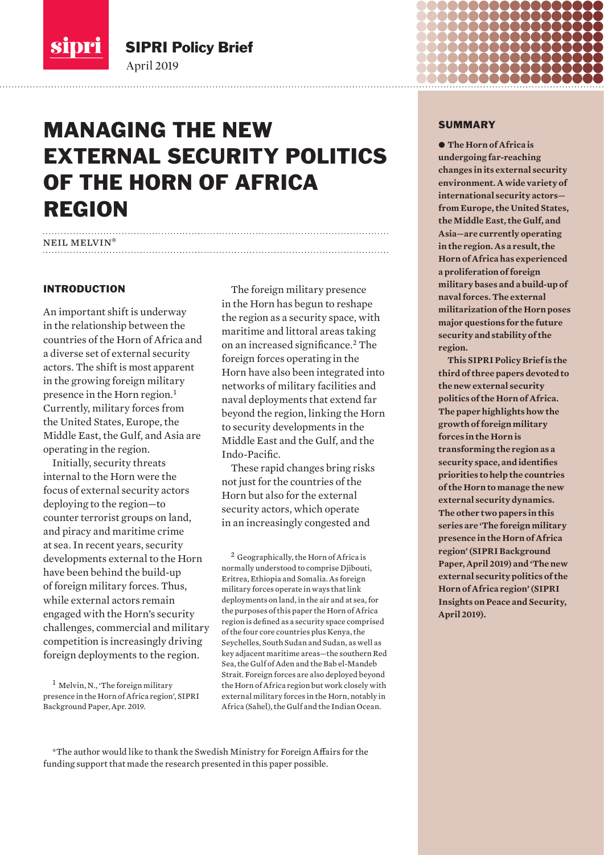

SIPRI Policy Brief

April 2019

## MANAGING THE NEW EXTERNAL SECURITY POLITICS OF THE HORN OF AFRICA REGION

## neil melvin\*

## INTRODUCTION

An important shift is underway in the relationship between the countries of the Horn of Africa and a diverse set of external security actors. The shift is most apparent in the growing foreign military presence in the Horn region.<sup>1</sup> Currently, military forces from the United States, Europe, the Middle East, the Gulf, and Asia are operating in the region.

Initially, security threats internal to the Horn were the focus of external security actors deploying to the region—to counter terrorist groups on land, and piracy and maritime crime at sea. In recent years, security developments external to the Horn have been behind the build-up of foreign military forces. Thus, while external actors remain engaged with the Horn's security challenges, commercial and military competition is increasingly driving foreign deployments to the region.

The foreign military presence in the Horn has begun to reshape the region as a security space, with maritime and littoral areas taking on an increased significance.<sup>2</sup> The foreign forces operating in the Horn have also been integrated into networks of military facilities and naval deployments that extend far beyond the region, linking the Horn to security developments in the Middle East and the Gulf, and the Indo-Pacific.

These rapid changes bring risks not just for the countries of the Horn but also for the external security actors, which operate in an increasingly congested and

<sup>2</sup> Geographically, the Horn of Africa is normally understood to comprise Djibouti, Eritrea, Ethiopia and Somalia. As foreign military forces operate in ways that link deployments on land, in the air and at sea, for the purposes of this paper the Horn of Africa region is defined as a security space comprised of the four core countries plus Kenya, the Seychelles, South Sudan and Sudan, as well as key adjacent maritime areas—the southern Red Sea, the Gulf of Aden and the Bab el-Mandeb Strait. Foreign forces are also deployed beyond the Horn of Africa region but work closely with external military forces in the Horn, notably in Africa (Sahel), the Gulf and the Indian Ocean.

\*The author would like to thank the Swedish Ministry for Foreign Affairs for the funding support that made the research presented in this paper possible.

#### **SUMMARY**

 $\bullet$  The Horn of Africa is **undergoing far-reaching changes in its external security environment. A wide variety of international security actors from Europe, the United States, the Middle East, the Gulf, and Asia—are currently operating in the region. As a result, the Horn of Africa has experienced a proliferation of foreign military bases and a build-up of naval forces. The external militarization of the Horn poses major questions for the future security and stability of the region.** 

**This SIPRI Policy Brief is the third of three papers devoted to the new external security politics of the Horn of Africa. The paper highlights how the growth of foreign military forces in the Horn is transforming the region as a security space, and identifies priorities to help the countries of the Horn to manage the new external security dynamics. The other two papers in this series are 'The foreign military presence in the Horn of Africa region' (SIPRI Background Paper, April 2019) and 'The new external security politics of the Horn of Africa region' (SIPRI Insights on Peace and Security, April 2019).**

<sup>1</sup> Melvin, N., 'The foreign military presence in the Horn of Africa region', SIPRI Background Paper, Apr. 2019.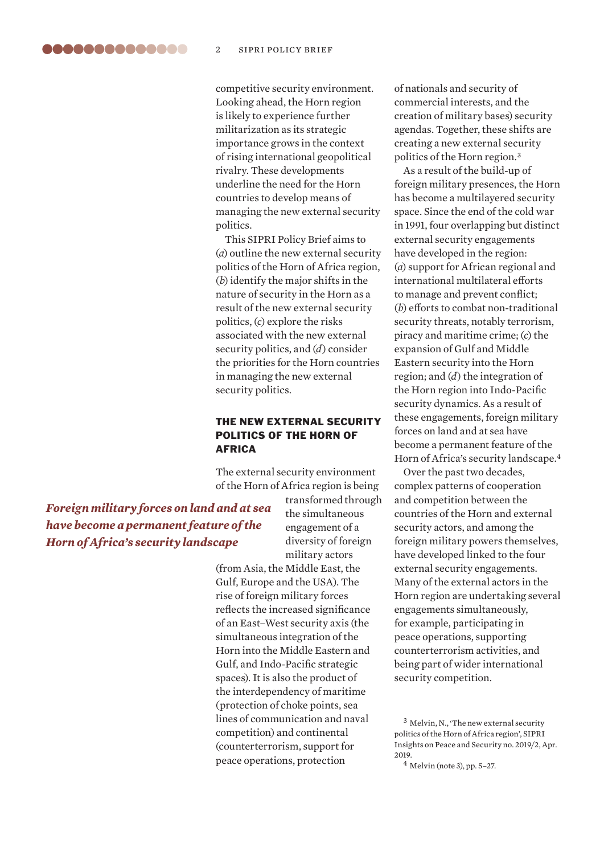competitive security environment. Looking ahead, the Horn region is likely to experience further militarization as its strategic importance grows in the context of rising international geopolitical rivalry. These developments underline the need for the Horn countries to develop means of managing the new external security politics.

This SIPRI Policy Brief aims to (*a*) outline the new external security politics of the Horn of Africa region, (*b*) identify the major shifts in the nature of security in the Horn as a result of the new external security politics, (*c*) explore the risks associated with the new external security politics, and (*d*) consider the priorities for the Horn countries in managing the new external security politics.

## THE NEW EXTERNAL SECURITY POLITICS OF THE HORN OF AFRICA

The external security environment of the Horn of Africa region is being

*Foreign military forces on land and at sea have become a permanent feature of the Horn of Africa's security landscape*

transformed through the simultaneous engagement of a diversity of foreign military actors

(from Asia, the Middle East, the Gulf, Europe and the USA). The rise of foreign military forces reflects the increased significance of an East–West security axis (the simultaneous integration of the Horn into the Middle Eastern and Gulf, and Indo-Pacific strategic spaces). It is also the product of the interdependency of maritime (protection of choke points, sea lines of communication and naval competition) and continental (counterterrorism, support for peace operations, protection

of nationals and security of commercial interests, and the creation of military bases) security agendas. Together, these shifts are creating a new external security politics of the Horn region.<sup>3</sup>

As a result of the build-up of foreign military presences, the Horn has become a multilayered security space. Since the end of the cold war in 1991, four overlapping but distinct external security engagements have developed in the region: (*a*) support for African regional and international multilateral efforts to manage and prevent conflict; (*b*) efforts to combat non-traditional security threats, notably terrorism, piracy and maritime crime; (*c*) the expansion of Gulf and Middle Eastern security into the Horn region; and (*d*) the integration of the Horn region into Indo-Pacific security dynamics. As a result of these engagements, foreign military forces on land and at sea have become a permanent feature of the Horn of Africa's security landscape.<sup>4</sup>

Over the past two decades, complex patterns of cooperation and competition between the countries of the Horn and external security actors, and among the foreign military powers themselves, have developed linked to the four external security engagements. Many of the external actors in the Horn region are undertaking several engagements simultaneously, for example, participating in peace operations, supporting counterterrorism activities, and being part of wider international security competition.

 $3$  Melvin, N., 'The new external security politics of the Horn of Africa region', SIPRI Insights on Peace and Security no. 2019/2, Apr. 2019.

<sup>4</sup> Melvin (note 3), pp. 5–27.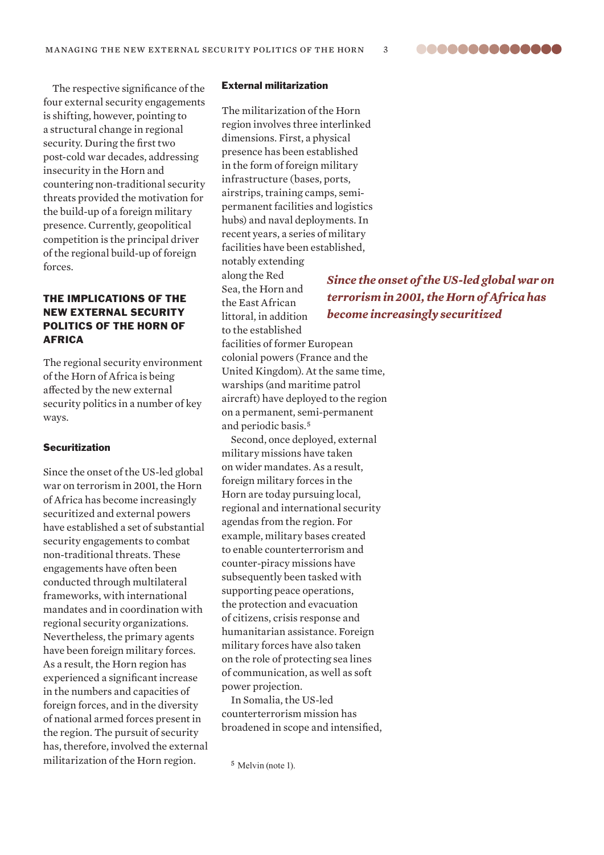**00000000000000** 

The respective significance of the four external security engagements is shifting, however, pointing to a structural change in regional security. During the first two post-cold war decades, addressing insecurity in the Horn and countering non-traditional security threats provided the motivation for the build-up of a foreign military presence. Currently, geopolitical competition is the principal driver of the regional build-up of foreign forces.

## THE IMPLICATIONS OF THE NEW EXTERNAL SECURITY POLITICS OF THE HORN OF AFRICA

The regional security environment of the Horn of Africa is being affected by the new external security politics in a number of key ways.

### Securitization

Since the onset of the US-led global war on terrorism in 2001, the Horn of Africa has become increasingly securitized and external powers have established a set of substantial security engagements to combat non-traditional threats. These engagements have often been conducted through multilateral frameworks, with international mandates and in coordination with regional security organizations. Nevertheless, the primary agents have been foreign military forces. As a result, the Horn region has experienced a significant increase in the numbers and capacities of foreign forces, and in the diversity of national armed forces present in the region. The pursuit of security has, therefore, involved the external militarization of the Horn region.

#### External militarization

The militarization of the Horn region involves three interlinked dimensions. First, a physical presence has been established in the form of foreign military infrastructure (bases, ports, airstrips, training camps, semipermanent facilities and logistics hubs) and naval deployments. In recent years, a series of military facilities have been established, notably extending

along the Red Sea, the Horn and the East African littoral, in addition to the established

facilities of former European colonial powers (France and the United Kingdom). At the same time, warships (and maritime patrol aircraft) have deployed to the region on a permanent, semi-permanent and periodic basis.<sup>5</sup>

Second, once deployed, external military missions have taken on wider mandates. As a result, foreign military forces in the Horn are today pursuing local, regional and international security agendas from the region. For example, military bases created to enable counterterrorism and counter-piracy missions have subsequently been tasked with supporting peace operations, the protection and evacuation of citizens, crisis response and humanitarian assistance. Foreign military forces have also taken on the role of protecting sea lines of communication, as well as soft power projection.

In Somalia, the US-led counterterrorism mission has broadened in scope and intensified,

<sup>5</sup> Melvin (note 1).

*Since the onset of the US-led global war on terrorism in 2001, the Horn of Africa has become increasingly securitized*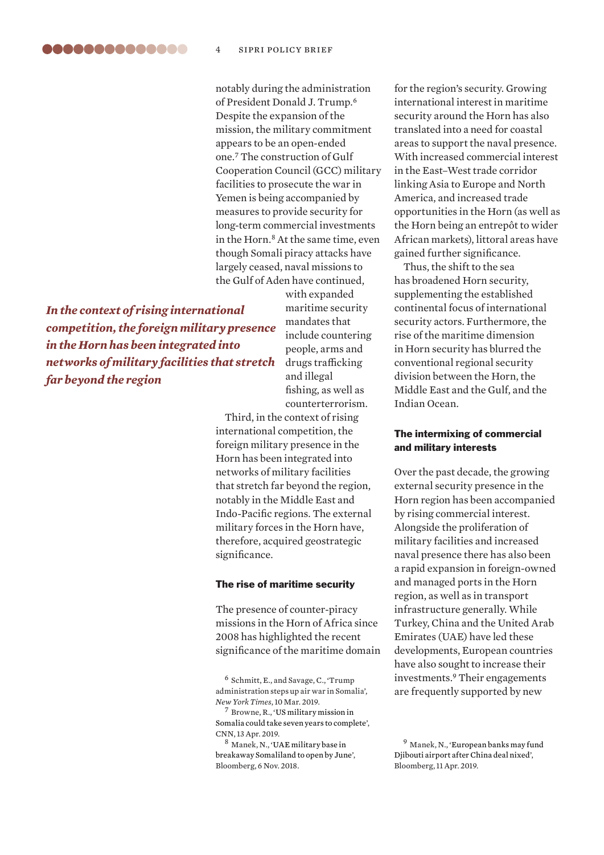notably during the administration of President Donald J. Trump.<sup>6</sup> Despite the expansion of the mission, the military commitment appears to be an open-ended one.<sup>7</sup> The construction of Gulf Cooperation Council (GCC) military facilities to prosecute the war in Yemen is being accompanied by measures to provide security for long-term commercial investments in the Horn.<sup>8</sup> At the same time, even though Somali piracy attacks have largely ceased, naval missions to the Gulf of Aden have continued,

*In the context of rising international competition, the foreign military presence in the Horn has been integrated into networks of military facilities that stretch far beyond the region*

with expanded maritime security mandates that include countering people, arms and drugs trafficking and illegal fishing, as well as counterterrorism.

Third, in the context of rising international competition, the foreign military presence in the Horn has been integrated into networks of military facilities that stretch far beyond the region, notably in the Middle East and Indo-Pacific regions. The external military forces in the Horn have, therefore, acquired geostrategic significance.

#### The rise of maritime security

The presence of counter-piracy missions in the Horn of Africa since 2008 has highlighted the recent significance of the maritime domain

 $<sup>7</sup>$  Browne, R., 'US military mission in</sup> [Somalia could take seven years to complete](https://edition.cnn.com/2019/04/13/politics/us-military-somalia-mission/index.html)', CNN, 13 Apr. 2019.

<sup>8</sup> Manek, N., '[UAE military base in](https://www.bloomberg.com/news/articles/2018-11-06/u-a-e-military-base-in-breakaway-somaliland-seen-open-by-june)  [breakaway Somaliland to open by June](https://www.bloomberg.com/news/articles/2018-11-06/u-a-e-military-base-in-breakaway-somaliland-seen-open-by-june)', Bloomberg, 6 Nov. 2018.

for the region's security. Growing international interest in maritime security around the Horn has also translated into a need for coastal areas to support the naval presence. With increased commercial interest in the East–West trade corridor linking Asia to Europe and North America, and increased trade opportunities in the Horn (as well as the Horn being an entrepôt to wider African markets), littoral areas have gained further significance.

Thus, the shift to the sea has broadened Horn security, supplementing the established continental focus of international security actors. Furthermore, the rise of the maritime dimension in Horn security has blurred the conventional regional security division between the Horn, the Middle East and the Gulf, and the Indian Ocean.

## The intermixing of commercial and military interests

Over the past decade, the growing external security presence in the Horn region has been accompanied by rising commercial interest. Alongside the proliferation of military facilities and increased naval presence there has also been a rapid expansion in foreign-owned and managed ports in the Horn region, as well as in transport infrastructure generally. While Turkey, China and the United Arab Emirates (UAE) have led these developments, European countries have also sought to increase their investments.<sup>9</sup> Their engagements are frequently supported by new

<sup>6</sup> Schmitt, E., and Savage, C., 'Trump administration steps up air war in Somalia', *New York Times*, 10 Mar. 2019.

<sup>9</sup> Manek, N., '[European banks may fund](https://www.bloomberg.com/news/articles/2019-04-11/european-banks-may-fund-djibouti-airport-after-china-deal-nixed)  [Djibouti airport after China deal nixed'](https://www.bloomberg.com/news/articles/2019-04-11/european-banks-may-fund-djibouti-airport-after-china-deal-nixed), Bloomberg, 11 Apr. 2019.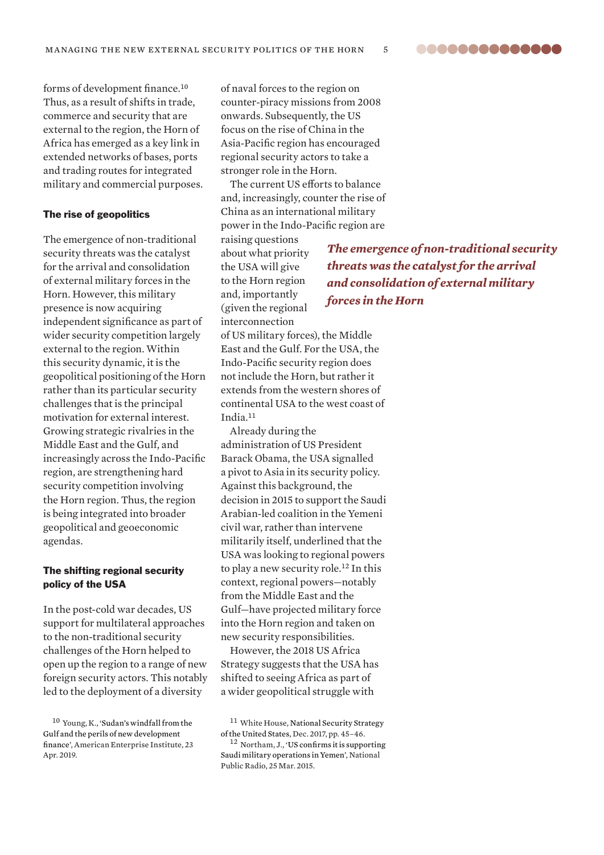..............

forms of development finance.<sup>10</sup> Thus, as a result of shifts in trade, commerce and security that are external to the region, the Horn of Africa has emerged as a key link in extended networks of bases, ports and trading routes for integrated military and commercial purposes.

#### The rise of geopolitics

The emergence of non-traditional security threats was the catalyst for the arrival and consolidation of external military forces in the Horn. However, this military presence is now acquiring independent significance as part of wider security competition largely external to the region. Within this security dynamic, it is the geopolitical positioning of the Horn rather than its particular security challenges that is the principal motivation for external interest. Growing strategic rivalries in the Middle East and the Gulf, and increasingly across the Indo-Pacific region, are strengthening hard security competition involving the Horn region. Thus, the region is being integrated into broader geopolitical and geoeconomic agendas.

## The shifting regional security policy of the USA

In the post-cold war decades, US support for multilateral approaches to the non-traditional security challenges of the Horn helped to open up the region to a range of new foreign security actors. This notably led to the deployment of a diversity

of naval forces to the region on counter-piracy missions from 2008 onwards. Subsequently, the US focus on the rise of China in the Asia-Pacific region has encouraged regional security actors to take a stronger role in the Horn.

The current US efforts to balance and, increasingly, counter the rise of China as an international military power in the Indo-Pacific region are

raising questions about what priority the USA will give to the Horn region and, importantly (given the regional interconnection

of US military forces), the Middle East and the Gulf. For the USA, the Indo-Pacific security region does not include the Horn, but rather it extends from the western shores of continental USA to the west coast of India.<sup>11</sup>

Already during the administration of US President Barack Obama, the USA signalled a pivot to Asia in its security policy. Against this background, the decision in 2015 to support the Saudi Arabian-led coalition in the Yemeni civil war, rather than intervene militarily itself, underlined that the USA was looking to regional powers to play a new security role.<sup>12</sup> In this context, regional powers—notably from the Middle East and the Gulf—have projected military force into the Horn region and taken on new security responsibilities.

However, the 2018 US Africa Strategy suggests that the USA has shifted to seeing Africa as part of a wider geopolitical struggle with

*The emergence of non-traditional security threats was the catalyst for the arrival and consolidation of external military forces in the Horn*

<sup>10</sup> Young, K., ['Sudan's windfall from the](http://www.aei.org/publication/sudans-windfall-from-the-gulf-and-the-perils-of-new-development-finance/)  [Gulf and the perils of new development](http://www.aei.org/publication/sudans-windfall-from-the-gulf-and-the-perils-of-new-development-finance/)  [finance'](http://www.aei.org/publication/sudans-windfall-from-the-gulf-and-the-perils-of-new-development-finance/), American Enterprise Institute, 23 Apr. 2019.

<sup>&</sup>lt;sup>11</sup> White House, National Security Strategy [of the United States](https://www.whitehouse.gov/wp-content/uploads/2017/12/NSS-Final-12-18-2017-0905-1.pdf), Dec. 2017, pp. 45–46.

<sup>12</sup> Northam, J., '[US confirms it is supporting](https://www.npr.org/sections/thetwo-way/2015/03/25/395294977/yemens-president-flees-palace-as-rebels-continue-advance)  [Saudi military operations in Yemen'](https://www.npr.org/sections/thetwo-way/2015/03/25/395294977/yemens-president-flees-palace-as-rebels-continue-advance), National Public Radio, 25 Mar. 2015.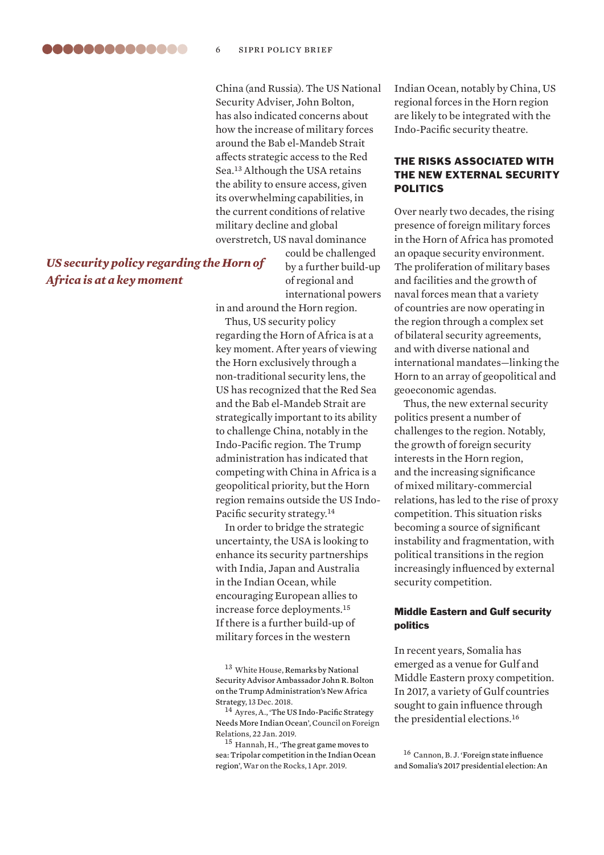China (and Russia). The US National Security Adviser, John Bolton, has also indicated concerns about how the increase of military forces around the Bab el-Mandeb Strait affects strategic access to the Red Sea.<sup>13</sup> Although the USA retains the ability to ensure access, given its overwhelming capabilities, in the current conditions of relative military decline and global overstretch, US naval dominance

## *US security policy regarding the Horn of Africa is at a key moment*

could be challenged by a further build-up of regional and international powers

in and around the Horn region.

Thus, US security policy regarding the Horn of Africa is at a key moment. After years of viewing the Horn exclusively through a non-traditional security lens, the US has recognized that the Red Sea and the Bab el-Mandeb Strait are strategically important to its ability to challenge China, notably in the Indo-Pacific region. The Trump administration has indicated that competing with China in Africa is a geopolitical priority, but the Horn region remains outside the US Indo-Pacific security strategy.<sup>14</sup>

In order to bridge the strategic uncertainty, the USA is looking to enhance its security partnerships with India, Japan and Australia in the Indian Ocean, while encouraging European allies to increase force deployments.<sup>15</sup> If there is a further build-up of military forces in the western

13 White House, Remarks by National [Security Advisor Ambassador John R. Bolton](https://www.whitehouse.gov/briefings-statements/remarks-national-security-advisor-ambassador-john-r-bolton-trump-administrations-new-africa-strategy/)  [on the Trump Administration's New Africa](https://www.whitehouse.gov/briefings-statements/remarks-national-security-advisor-ambassador-john-r-bolton-trump-administrations-new-africa-strategy/)  [Strategy,](https://www.whitehouse.gov/briefings-statements/remarks-national-security-advisor-ambassador-john-r-bolton-trump-administrations-new-africa-strategy/) 13 Dec. 2018.

<sup>14</sup> Ayres, A., 'The US Indo-Pacific Strategy [Needs More Indian Ocean](https://www.cfr.org/expert-brief/us-indo-pacific-strategy-needs-more-indian-ocean)', Council on Foreign Relations, 22 Jan. 2019.

<sup>15</sup> Hannah, H., 'The great game moves to [sea: Tripolar competition in the Indian Ocean](https://warontherocks.com/2019/04/the-great-game-moves-to-sea-tripolar-competition-in-the-indian-ocean-region/)  [region](https://warontherocks.com/2019/04/the-great-game-moves-to-sea-tripolar-competition-in-the-indian-ocean-region/)', War on the Rocks, 1 Apr. 2019.

Indian Ocean, notably by China, US regional forces in the Horn region are likely to be integrated with the Indo-Pacific security theatre.

## THE RISKS ASSOCIATED WITH THE NEW EXTERNAL SECURITY POLITICS

Over nearly two decades, the rising presence of foreign military forces in the Horn of Africa has promoted an opaque security environment. The proliferation of military bases and facilities and the growth of naval forces mean that a variety of countries are now operating in the region through a complex set of bilateral security agreements, and with diverse national and international mandates—linking the Horn to an array of geopolitical and geoeconomic agendas.

Thus, the new external security politics present a number of challenges to the region. Notably, the growth of foreign security interests in the Horn region, and the increasing significance of mixed military-commercial relations, has led to the rise of proxy competition. This situation risks becoming a source of significant instability and fragmentation, with political transitions in the region increasingly influenced by external security competition.

## Middle Eastern and Gulf security politics

In recent years, Somalia has emerged as a venue for Gulf and Middle Eastern proxy competition. In 2017, a variety of Gulf countries sought to gain influence through the presidential elections.<sup>16</sup>

<sup>16</sup> Cannon, B. J. '[Foreign state influence](https://digitalcommons.macalester.edu/bildhaan/vol18/iss1/6/)  [and Somalia's 2017 presidential election: An](https://digitalcommons.macalester.edu/bildhaan/vol18/iss1/6/)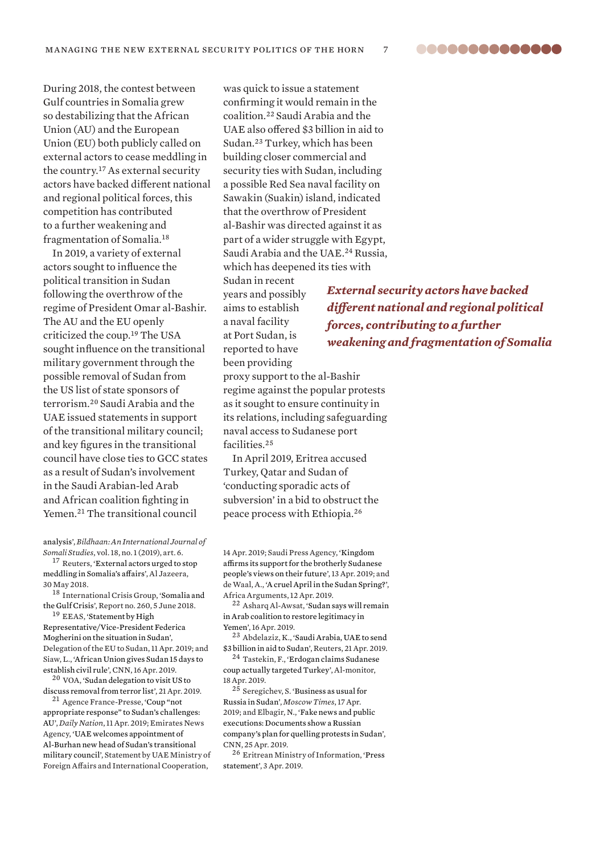88888888888888

During 2018, the contest between Gulf countries in Somalia grew so destabilizing that the African Union (AU) and the European Union (EU) both publicly called on external actors to cease meddling in the country.<sup>17</sup> As external security actors have backed different national and regional political forces, this competition has contributed to a further weakening and fragmentation of Somalia.<sup>18</sup>

In 2019, a variety of external actors sought to influence the political transition in Sudan following the overthrow of the regime of President Omar al-Bashir. The AU and the EU openly criticized the coup.<sup>19</sup> The USA sought influence on the transitional military government through the possible removal of Sudan from the US list of state sponsors of terrorism.<sup>20</sup> Saudi Arabia and the UAE issued statements in support of the transitional military council; and key figures in the transitional council have close ties to GCC states as a result of Sudan's involvement in the Saudi Arabian-led Arab and African coalition fighting in Yemen.<sup>21</sup> The transitional council

[analysis](https://digitalcommons.macalester.edu/bildhaan/vol18/iss1/6/)', *Bildhaan: An International Journal of Somali Studies*, vol. 18, no. 1 (2019), art. 6.

<sup>17</sup> Reuters, '[External actors urged to stop](https://www.aljazeera.com/news/2018/05/external-actors-urged-stop-meddling-somalia-affairs-180529180345722.html)  [meddling in Somalia's affairs'](https://www.aljazeera.com/news/2018/05/external-actors-urged-stop-meddling-somalia-affairs-180529180345722.html), Al Jazeera, 30 May 2018.

<sup>18</sup> International Crisis Group, ['Somalia and](https://www.crisisgroup.org/africa/horn-africa/somalia/260-somalia-and-gulf-crisis)  [the Gulf Crisis'](https://www.crisisgroup.org/africa/horn-africa/somalia/260-somalia-and-gulf-crisis), Report no. 260, 5 June 2018.

<sup>19</sup> EEAS, 'Statement by High [Representative/Vice-President Federica](https://eeas.europa.eu/delegations/sudan/60957/statement-high-representativevice-president-federica-mogherini-situation-sudan_en)  [Mogherini on the situation in Sudan](https://eeas.europa.eu/delegations/sudan/60957/statement-high-representativevice-president-federica-mogherini-situation-sudan_en)', Delegation of the EU to Sudan, 11 Apr. 2019; and Siaw, L., ['African Union gives Sudan 15 days to](https://edition.cnn.com/2019/04/16/africa/sudan-african-union-deadline-intl/index.html)  [establish civil rule](https://edition.cnn.com/2019/04/16/africa/sudan-african-union-deadline-intl/index.html)', CNN, 16 Apr. 2019.

<sup>20</sup> VOA, 'Sudan delegation to visit US to [discuss removal from terror list'](https://www.voanews.com/a/sudan-delegation-to-visit-us/4885081.html), 21 Apr. 2019.

<sup>21</sup> Agence France-Presse, 'Coup "not [appropriate response" to Sudan's challenges:](https://www.nation.co.ke/news/africa/Coup-not-appropriate-response-to-Sudan-challenges/1066-5067594-2motldz/)  [AU'](https://www.nation.co.ke/news/africa/Coup-not-appropriate-response-to-Sudan-challenges/1066-5067594-2motldz/), *Daily Nation*, 11 Apr. 2019; Emirates News Agency, '[UAE welcomes appointment of](http://wam.ae/en/details/1395302755106)  [Al-Burhan new head of Sudan's transitional](http://wam.ae/en/details/1395302755106)  [military council'](http://wam.ae/en/details/1395302755106), Statement by UAE Ministry of Foreign Affairs and International Cooperation,

was quick to issue a statement confirming it would remain in the coalition.<sup>22</sup> Saudi Arabia and the UAE also offered \$3 billion in aid to Sudan.<sup>23</sup> Turkey, which has been building closer commercial and security ties with Sudan, including a possible Red Sea naval facility on Sawakin (Suakin) island, indicated that the overthrow of President al-Bashir was directed against it as part of a wider struggle with Egypt, Saudi Arabia and the UAE.<sup>24</sup> Russia, which has deepened its ties with

Sudan in recent years and possibly aims to establish a naval facility at Port Sudan, is reported to have been providing proxy support to the al-Bashir

regime against the popular protests as it sought to ensure continuity in its relations, including safeguarding naval access to Sudanese port facilities.<sup>25</sup>

In April 2019, Eritrea accused Turkey, Qatar and Sudan of 'conducting sporadic acts of subversion' in a bid to obstruct the peace process with Ethiopia.<sup>26</sup>

14 Apr. 2019; Saudi Press Agency, ['Kingdom](http://www.spa.gov.sa/viewfullstory.php?lang=en&newsid=1912454#1912454)  [affirms its support for the brotherly Sudanese](http://www.spa.gov.sa/viewfullstory.php?lang=en&newsid=1912454#1912454)  [people's views on their future](http://www.spa.gov.sa/viewfullstory.php?lang=en&newsid=1912454#1912454)', 13 Apr. 2019; and de Waal, A., ['A cruel April in the Sudan Spring?](https://africanarguments.org/2019/04/12/cruel-april-sudan-spring/)', Africa Arguments, 12 Apr. 2019.

<sup>22</sup> Asharq Al-Awsat, '[Sudan says will remain](https://aawsat.com/english/home/article/1681446/sudan-says-will-remain-arab-coalition-restore-legitimacy-yemen)  [in Arab coalition to restore legitimacy in](https://aawsat.com/english/home/article/1681446/sudan-says-will-remain-arab-coalition-restore-legitimacy-yemen)  [Yemen'](https://aawsat.com/english/home/article/1681446/sudan-says-will-remain-arab-coalition-restore-legitimacy-yemen), 16 Apr. 2019.

<sup>23</sup> Abdelaziz, K., '[Saudi Arabia, UAE to send](https://uk.mobile.reuters.com/article/amp/idUKKCN1RX0EV?__twitter_impression=true)  [\\$3 billion in aid to Sudan'](https://uk.mobile.reuters.com/article/amp/idUKKCN1RX0EV?__twitter_impression=true), Reuters, 21 Apr. 2019.

<sup>24</sup> Tastekin, F., '[Erdogan claims Sudanese](https://www.al-monitor.com/pulse/originals/2019/04/turkey-sudan-pro-akp-media-claim-saudi-arabia-behind-coup.html)  [coup actually targeted Turkey'](https://www.al-monitor.com/pulse/originals/2019/04/turkey-sudan-pro-akp-media-claim-saudi-arabia-behind-coup.html), Al-monitor,

18 Apr. 2019.  $2\bar{5}$  Seregichev, S. 'Business as usual for

[Russia in Sudan'](https://www.themoscowtimes.com/2019/04/17/business-as-usual-for-russia-in-sudan-a65272), *Moscow Times*, 17 Apr. 2019; and Elbagir, N., '[Fake news and public](https://edition.cnn.com/2019/04/25/africa/russia-sudan-minvest-plan-to-quell-protests-intl/index.html)  [executions: Documents show a Russian](https://edition.cnn.com/2019/04/25/africa/russia-sudan-minvest-plan-to-quell-protests-intl/index.html)  [company's plan for quelling protests in Sudan'](https://edition.cnn.com/2019/04/25/africa/russia-sudan-minvest-plan-to-quell-protests-intl/index.html), CNN, 25 Apr. 2019.

<sup>26</sup> Eritrean Ministry of Information, '[Press](http://www.shabait.com/news/local-news/28279-press-statement)  [statement](http://www.shabait.com/news/local-news/28279-press-statement)', 3 Apr. 2019.

*External security actors have backed different national and regional political forces, contributing to a further weakening and fragmentation of Somalia*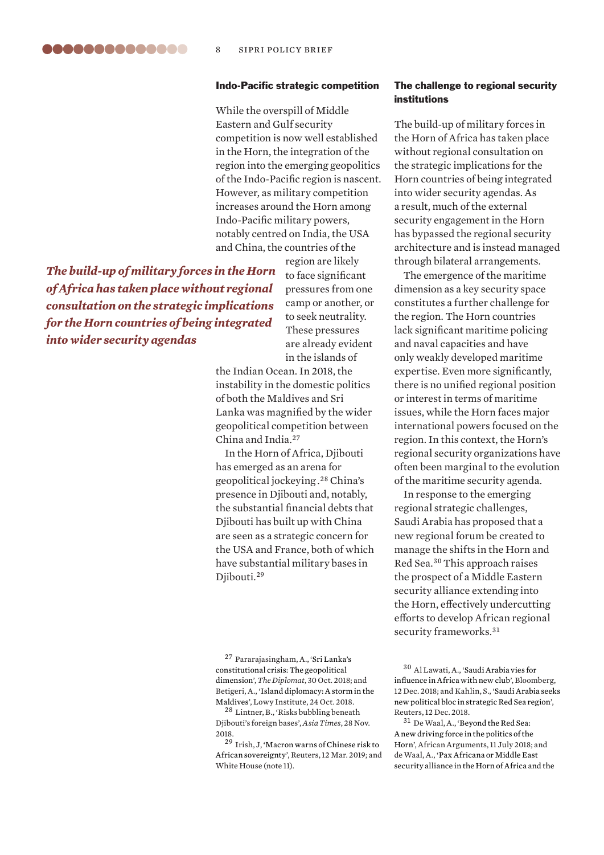#### Indo-Pacific strategic competition

While the overspill of Middle Eastern and Gulf security competition is now well established in the Horn, the integration of the region into the emerging geopolitics of the Indo-Pacific region is nascent. However, as military competition increases around the Horn among Indo-Pacific military powers, notably centred on India, the USA and China, the countries of the

*The build-up of military forces in the Horn of Africa has taken place without regional consultation on the strategic implications for the Horn countries of being integrated into wider security agendas*

region are likely to face significant pressures from one camp or another, or to seek neutrality. These pressures are already evident in the islands of

the Indian Ocean. In 2018, the instability in the domestic politics of both the Maldives and Sri Lanka was magnified by the wider geopolitical competition between China and India.<sup>27</sup>

In the Horn of Africa, Djibouti has emerged as an arena for geopolitical jockeying . <sup>28</sup> China's presence in Djibouti and, notably, the substantial financial debts that Djibouti has built up with China are seen as a strategic concern for the USA and France, both of which have substantial military bases in Djibouti.<sup>29</sup>

<sup>27</sup> Pararajasingham, A., '[Sri Lanka's](https://thediplomat.com/2018/10/sri-lankas-constitutional-crisis-the-geopolitical-dimension/)  [constitutional crisis: The geopolitical](https://thediplomat.com/2018/10/sri-lankas-constitutional-crisis-the-geopolitical-dimension/)  [dimension'](https://thediplomat.com/2018/10/sri-lankas-constitutional-crisis-the-geopolitical-dimension/), *The Diplomat*, 30 Oct. 2018; and Betigeri, A., '[Island diplomacy: A storm in the](https://www.lowyinstitute.org/the-interpreter/island-diplomacy-storm-maldives)  [Maldives](https://www.lowyinstitute.org/the-interpreter/island-diplomacy-storm-maldives)', Lowy Institute, 24 Oct. 2018.

<sup>28</sup> Lintner, B., 'Risks bubbling beneath Djibouti's foreign bases', *Asia Times*, 28 Nov. 2018.

<sup>29</sup> Irish, J, '[Macron warns of Chinese risk to](https://af.reuters.com/article/topNews/idAFKBN1QT0S9-OZATP)  [African sovereignty](https://af.reuters.com/article/topNews/idAFKBN1QT0S9-OZATP)', Reuters, 12 Mar. 2019; and White House (note 11).

## The challenge to regional security institutions

The build-up of military forces in the Horn of Africa has taken place without regional consultation on the strategic implications for the Horn countries of being integrated into wider security agendas. As a result, much of the external security engagement in the Horn has bypassed the regional security architecture and is instead managed through bilateral arrangements.

The emergence of the maritime dimension as a key security space constitutes a further challenge for the region. The Horn countries lack significant maritime policing and naval capacities and have only weakly developed maritime expertise. Even more significantly, there is no unified regional position or interest in terms of maritime issues, while the Horn faces major international powers focused on the region. In this context, the Horn's regional security organizations have often been marginal to the evolution of the maritime security agenda.

In response to the emerging regional strategic challenges, Saudi Arabia has proposed that a new regional forum be created to manage the shifts in the Horn and Red Sea.<sup>30</sup> This approach raises the prospect of a Middle Eastern security alliance extending into the Horn, effectively undercutting efforts to develop African regional security frameworks.<sup>31</sup>

<sup>30</sup> Al Lawati, A., '[Saudi Arabia vies for](https://www.bloomberg.com/news/articles/2018-12-12/saudi-arabia-plans-a-grouping-for-red-sea-gulf-of-aden-states)  [influence in Africa with new club](https://www.bloomberg.com/news/articles/2018-12-12/saudi-arabia-plans-a-grouping-for-red-sea-gulf-of-aden-states)', Bloomberg, 12 Dec. 2018; and Kahlin, S., '[Saudi Arabia seeks](https://www.reuters.com/article/us-saudi-diplomacy-idUSKBN1OB1Z9)  [new political bloc in strategic Red Sea region'](https://www.reuters.com/article/us-saudi-diplomacy-idUSKBN1OB1Z9), Reuters, 12 Dec. 2018.

<sup>31</sup> De Waal, A., '[Beyond the Red Sea:](https://africanarguments.org/2018/07/11/beyond-red-sea-new-driving-force-politics-horn-africa/)  [A new driving force in the politics of the](https://africanarguments.org/2018/07/11/beyond-red-sea-new-driving-force-politics-horn-africa/)  [Horn](https://africanarguments.org/2018/07/11/beyond-red-sea-new-driving-force-politics-horn-africa/)', African Arguments, 11 July 2018; and de Waal, A., '[Pax Africana or Middle East](http://www.lse.ac.uk/international-development/Assets/Documents/ccs-research-unit/Conflict-Research-Programme/crp-occasional-papers/Horn-of-Africa-Red-Sea-Occasional-Paper-Jan-2019.pdf)  [security alliance in the Horn of Africa and the](http://www.lse.ac.uk/international-development/Assets/Documents/ccs-research-unit/Conflict-Research-Programme/crp-occasional-papers/Horn-of-Africa-Red-Sea-Occasional-Paper-Jan-2019.pdf)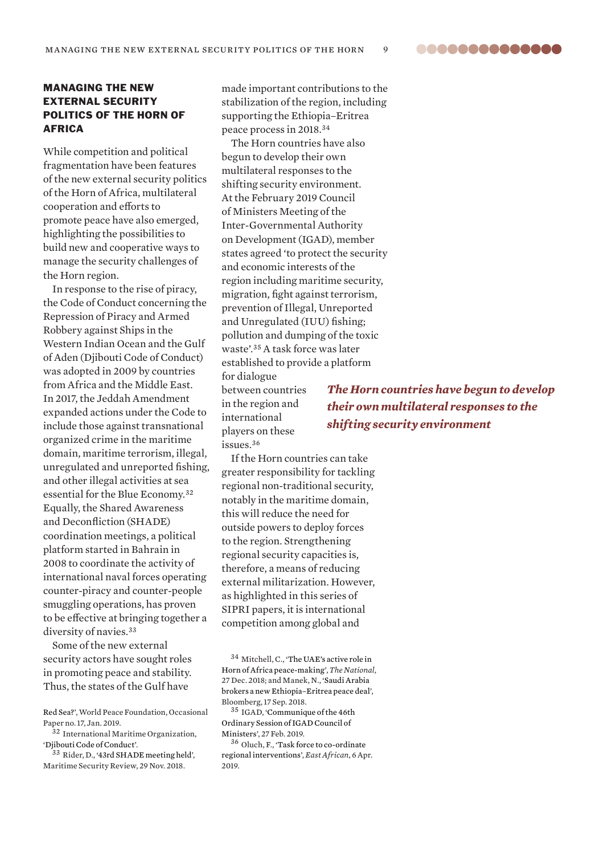MANAGING THE NEW EXTERNAL SECURITY POLITICS OF THE HORN OF AFRICA

While competition and political fragmentation have been features of the new external security politics of the Horn of Africa, multilateral cooperation and efforts to promote peace have also emerged, highlighting the possibilities to build new and cooperative ways to manage the security challenges of the Horn region.

In response to the rise of piracy, the Code of Conduct concerning the Repression of Piracy and Armed Robbery against Ships in the Western Indian Ocean and the Gulf of Aden (Djibouti Code of Conduct) was adopted in 2009 by countries from Africa and the Middle East. In 2017, the Jeddah Amendment expanded actions under the Code to include those against transnational organized crime in the maritime domain, maritime terrorism, illegal, unregulated and unreported fishing, and other illegal activities at sea essential for the Blue Economy.<sup>32</sup> Equally, the Shared Awareness and Deconfliction (SHADE) coordination meetings, a political platform started in Bahrain in 2008 to coordinate the activity of international naval forces operating counter-piracy and counter-people smuggling operations, has proven to be effective at bringing together a diversity of navies.<sup>33</sup>

Some of the new external security actors have sought roles in promoting peace and stability. Thus, the states of the Gulf have

[Red Sea?](http://www.lse.ac.uk/international-development/Assets/Documents/ccs-research-unit/Conflict-Research-Programme/crp-occasional-papers/Horn-of-Africa-Red-Sea-Occasional-Paper-Jan-2019.pdf)', World Peace Foundation, Occasional Paper no. 17, Jan. 2019.

<sup>32</sup> International Maritime Organization, '[Djibouti Code of Conduct'](http://www.imo.org/en/OurWork/Security/PIU/Pages/DCoC.aspx).

<sup>33</sup> Rider, D., ['43rd SHADE meeting held'](http://www.marsecreview.com/2018/11/43rd-shade-meeting-held/), Maritime Security Review, 29 Nov. 2018.

made important contributions to the stabilization of the region, including supporting the Ethiopia–Eritrea peace process in 2018.<sup>34</sup>

The Horn countries have also begun to develop their own multilateral responses to the shifting security environment. At the February 2019 Council of Ministers Meeting of the Inter-Governmental Authority on Development (IGAD), member states agreed 'to protect the security and economic interests of the region including maritime security, migration, fight against terrorism, prevention of Illegal, Unreported and Unregulated (IUU) fishing; pollution and dumping of the toxic waste'.<sup>35</sup> A task force was later established to provide a platform for dialogue

between countries in the region and international players on these issues.<sup>36</sup>

*The Horn countries have begun to develop their own multilateral responses to the shifting security environment*

If the Horn countries can take greater responsibility for tackling regional non-traditional security, notably in the maritime domain, this will reduce the need for outside powers to deploy forces to the region. Strengthening regional security capacities is, therefore, a means of reducing external militarization. However, as highlighted in this series of SIPRI papers, it is international competition among global and

 $^{34}$  Mitchell, C., 'The UAE's active role in [Horn of Africa peace-making](https://www.thenational.ae/world/africa/the-uae-s-active-role-in-horn-of-africa-peace-making-1.806867)', *The National*, 27 Dec. 2018; and Manek, N., '[Saudi Arabia](https://www.bloomberg.com/news/articles/2018-09-17/ethiopia-eritrea-leaders-sign-peace-accord-in-saudi-arabia)  [brokers a new Ethiopia–Eritrea peace deal'](https://www.bloomberg.com/news/articles/2018-09-17/ethiopia-eritrea-leaders-sign-peace-accord-in-saudi-arabia), Bloomberg, 17 Sep. 2018.

<sup>35</sup> IGAD, ['Communique of the 46th](https://igad.int/attachments/article/2057/Final%20Communique%20of%20the%2046th%20Ordinary%20Session%20of%20IGAD%20Council%20of%20Ministers.pdf)  [Ordinary Session of IGAD Council of](https://igad.int/attachments/article/2057/Final%20Communique%20of%20the%2046th%20Ordinary%20Session%20of%20IGAD%20Council%20of%20Ministers.pdf)  [Ministers](https://igad.int/attachments/article/2057/Final%20Communique%20of%20the%2046th%20Ordinary%20Session%20of%20IGAD%20Council%20of%20Ministers.pdf)', 27 Feb. 2019.

<sup>36</sup> Oluch, F., '[Task force to co-ordinate](https://www.theeastafrican.co.ke/news/ea/Horn-of-Africa-task-force-to-co-ordinate-regional-interventions/4552908-5059906-11503uwz/index.html)  [regional interventions'](https://www.theeastafrican.co.ke/news/ea/Horn-of-Africa-task-force-to-co-ordinate-regional-interventions/4552908-5059906-11503uwz/index.html), *East African*, 6 Apr. 2019.

..............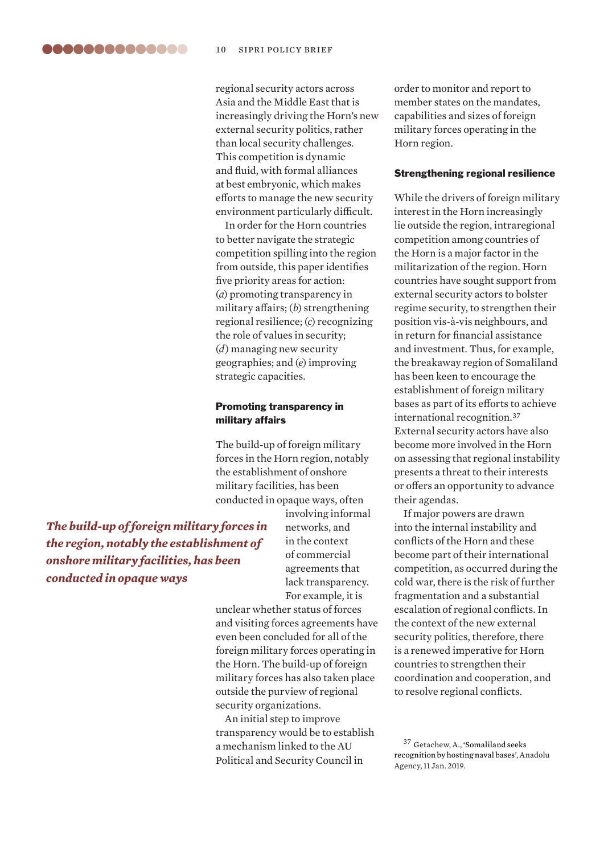regional security actors across Asia and the Middle East that is increasingly driving the Horn's new external security politics, rather than local security challenges. This competition is dynamic and fluid, with formal alliances at best embryonic, which makes efforts to manage the new security environment particularly difficult.

In order for the Horn countries to better navigate the strategic competition spilling into the region from outside, this paper identifies five priority areas for action: (*a*) promoting transparency in military affairs; (*b*) strengthening regional resilience; (*c*) recognizing the role of values in security; (*d*) managing new security geographies; and (*e*) improving strategic capacities.

## Promoting transparency in military affairs

The build-up of foreign military forces in the Horn region, notably the establishment of onshore military facilities, has been conducted in opaque ways, often

> involving informal networks, and in the context of commercial agreements that lack transparency. For example, it is

unclear whether status of forces and visiting forces agreements have even been concluded for all of the foreign military forces operating in the Horn. The build-up of foreign military forces has also taken place outside the purview of regional security organizations.

An initial step to improve transparency would be to establish a mechanism linked to the AU Political and Security Council in

order to monitor and report to member states on the mandates, capabilities and sizes of foreign military forces operating in the Horn region.

#### Strengthening regional resilience

While the drivers of foreign military interest in the Horn increasingly lie outside the region, intraregional competition among countries of the Horn is a major factor in the militarization of the region. Horn countries have sought support from external security actors to bolster regime security, to strengthen their position vis-à-vis neighbours, and in return for financial assistance and investment. Thus, for example, the breakaway region of Somaliland has been keen to encourage the establishment of foreign military bases as part of its efforts to achieve international recognition.<sup>37</sup> External security actors have also become more involved in the Horn on assessing that regional instability presents a threat to their interests or offers an opportunity to advance their agendas.

If major powers are drawn into the internal instability and conflicts of the Horn and these become part of their international competition, as occurred during the cold war, there is the risk of further fragmentation and a substantial escalation of regional conflicts. In the context of the new external security politics, therefore, there is a renewed imperative for Horn countries to strengthen their coordination and cooperation, and to resolve regional conflicts.

*The build-up of foreign military forces in the region, notably the establishment of onshore military facilities, has been conducted in opaque ways*

<sup>37</sup> Getachew, A., '[Somaliland seeks](https://www.aa.com.tr/en/africa/somaliland-seeks-recognition-by-hosting-naval-bases/1361649)  [recognition by hosting naval bases'](https://www.aa.com.tr/en/africa/somaliland-seeks-recognition-by-hosting-naval-bases/1361649), Anadolu Agency, 11 Jan. 2019.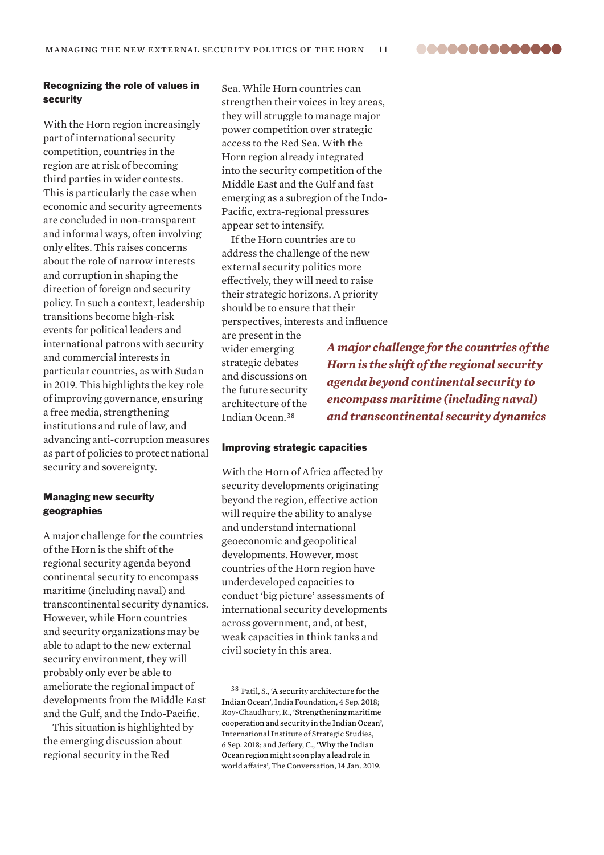..............

## Recognizing the role of values in security

With the Horn region increasingly part of international security competition, countries in the region are at risk of becoming third parties in wider contests. This is particularly the case when economic and security agreements are concluded in non-transparent and informal ways, often involving only elites. This raises concerns about the role of narrow interests and corruption in shaping the direction of foreign and security policy. In such a context, leadership transitions become high-risk events for political leaders and international patrons with security and commercial interests in particular countries, as with Sudan in 2019. This highlights the key role of improving governance, ensuring a free media, strengthening institutions and rule of law, and advancing anti-corruption measures as part of policies to protect national security and sovereignty.

## Managing new security geographies

A major challenge for the countries of the Horn is the shift of the regional security agenda beyond continental security to encompass maritime (including naval) and transcontinental security dynamics. However, while Horn countries and security organizations may be able to adapt to the new external security environment, they will probably only ever be able to ameliorate the regional impact of developments from the Middle East and the Gulf, and the Indo-Pacific.

This situation is highlighted by the emerging discussion about regional security in the Red

Sea. While Horn countries can strengthen their voices in key areas, they will struggle to manage major power competition over strategic access to the Red Sea. With the Horn region already integrated into the security competition of the Middle East and the Gulf and fast emerging as a subregion of the Indo-Pacific, extra-regional pressures appear set to intensify.

If the Horn countries are to address the challenge of the new external security politics more effectively, they will need to raise their strategic horizons. A priority should be to ensure that their perspectives, interests and influence

are present in the wider emerging strategic debates and discussions on the future security architecture of the Indian Ocean.<sup>38</sup>

*A major challenge for the countries of the Horn is the shift of the regional security agenda beyond continental security to encompass maritime (including naval) and transcontinental security dynamics*

#### Improving strategic capacities

With the Horn of Africa affected by security developments originating beyond the region, effective action will require the ability to analyse and understand international geoeconomic and geopolitical developments. However, most countries of the Horn region have underdeveloped capacities to conduct 'big picture' assessments of international security developments across government, and, at best, weak capacities in think tanks and civil society in this area.

<sup>38</sup> Patil, S., '[A security architecture for the](https://www.gatewayhouse.in/a-security-architecture-indian-ocean/)  [Indian Ocean'](https://www.gatewayhouse.in/a-security-architecture-indian-ocean/), India Foundation, 4 Sep. 2018; Roy-Chaudhury, R., '[Strengthening maritime](https://www.iiss.org/blogs/analysis/2018/09/maritime-cooperation-indian-ocean)  [cooperation and security in the Indian Ocean'](https://www.iiss.org/blogs/analysis/2018/09/maritime-cooperation-indian-ocean), International Institute of Strategic Studies, 6 Sep. 2018; and Jeffery, C., '[Why the Indian](https://theconversation.com/why-the-indian-ocean-region-might-soon-play-a-lead-role-in-world-affairs-109663)  [Ocean region might soon play a lead role in](https://theconversation.com/why-the-indian-ocean-region-might-soon-play-a-lead-role-in-world-affairs-109663)  [world affairs](https://theconversation.com/why-the-indian-ocean-region-might-soon-play-a-lead-role-in-world-affairs-109663)', The Conversation, 14 Jan. 2019.